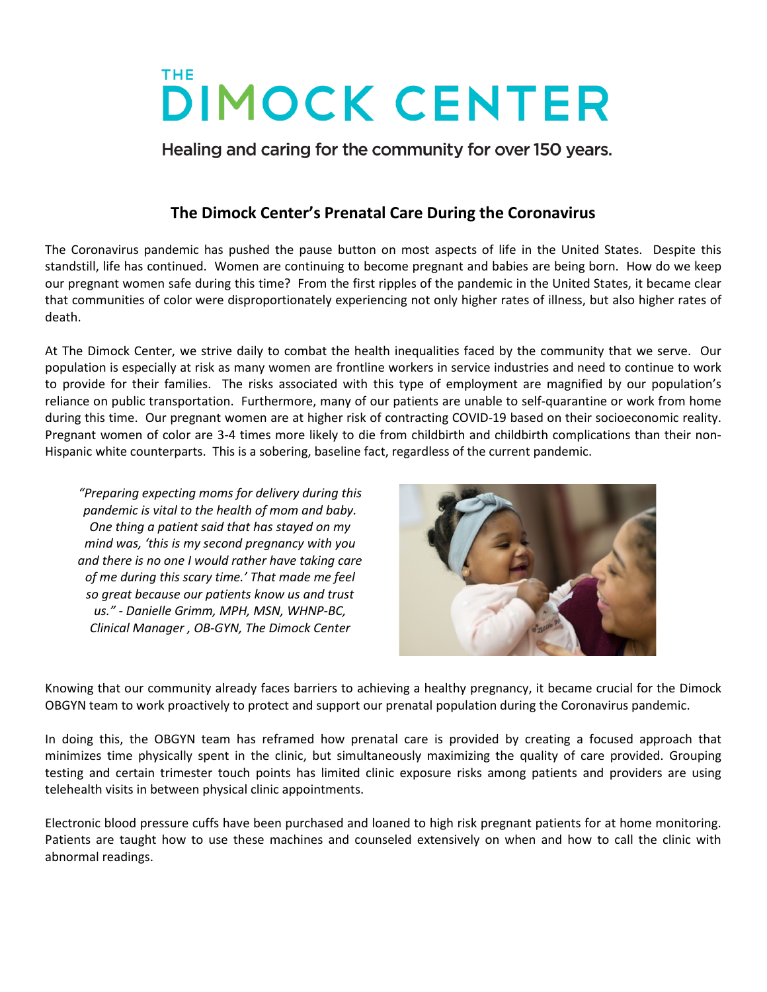## **DIMOCK CENTER**

Healing and caring for the community for over 150 years.

## **The Dimock Center's Prenatal Care During the Coronavirus**

The Coronavirus pandemic has pushed the pause button on most aspects of life in the United States. Despite this standstill, life has continued. Women are continuing to become pregnant and babies are being born. How do we keep our pregnant women safe during this time? From the first ripples of the pandemic in the United States, it became clear that communities of color were disproportionately experiencing not only higher rates of illness, but also higher rates of death.

At The Dimock Center, we strive daily to combat the health inequalities faced by the community that we serve. Our population is especially at risk as many women are frontline workers in service industries and need to continue to work to provide for their families. The risks associated with this type of employment are magnified by our population's reliance on public transportation. Furthermore, many of our patients are unable to self-quarantine or work from home during this time. Our pregnant women are at higher risk of contracting COVID-19 based on their socioeconomic reality. Pregnant women of color are 3-4 times more likely to die from childbirth and childbirth complications than their non-Hispanic white counterparts. This is a sobering, baseline fact, regardless of the current pandemic.

*"Preparing expecting moms for delivery during this pandemic is vital to the health of mom and baby. One thing a patient said that has stayed on my mind was, 'this is my second pregnancy with you and there is no one I would rather have taking care of me during this scary time.' That made me feel so great because our patients know us and trust us." - Danielle Grimm, MPH, MSN, WHNP-BC, Clinical Manager , OB-GYN, The Dimock Center*



Knowing that our community already faces barriers to achieving a healthy pregnancy, it became crucial for the Dimock OBGYN team to work proactively to protect and support our prenatal population during the Coronavirus pandemic.

In doing this, the OBGYN team has reframed how prenatal care is provided by creating a focused approach that minimizes time physically spent in the clinic, but simultaneously maximizing the quality of care provided. Grouping testing and certain trimester touch points has limited clinic exposure risks among patients and providers are using telehealth visits in between physical clinic appointments.

Electronic blood pressure cuffs have been purchased and loaned to high risk pregnant patients for at home monitoring. Patients are taught how to use these machines and counseled extensively on when and how to call the clinic with abnormal readings.